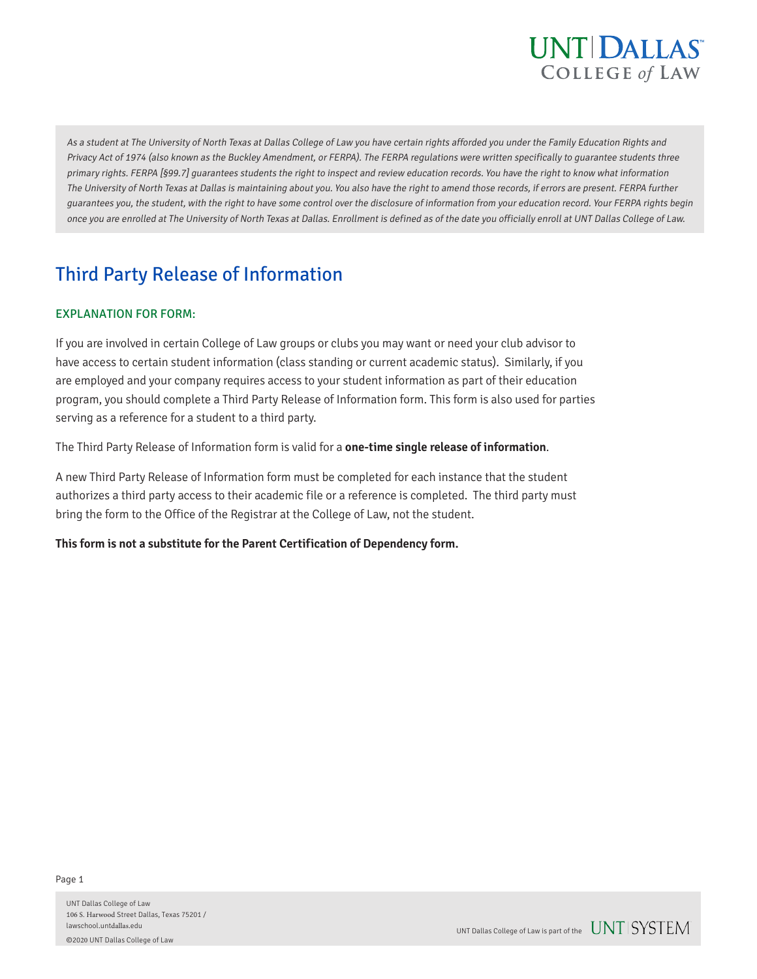

As a student at The University of North Texas at Dallas College of Law you have certain rights afforded you under the Family Education Rights and Privacy Act of 1974 (also known as the Buckley Amendment, or FERPA). The FERPA regulations were written specifically to guarantee students three primary rights. FERPA [§99.7] quarantees students the right to inspect and review education records. You have the right to know what information The University of North Texas at Dallas is maintaining about you. You also have the right to amend those records, if errors are present. FERPA further guarantees you, the student, with the right to have some control over the disclosure of information from your education record. Your FERPA rights begin once you are enrolled at The University of North Texas at Dallas. Enrollment is defined as of the date you officially enroll at UNT Dallas College of Law.

# Third Party Release of Information

### EXPLANATION FOR FORM:

If you are involved in certain College of Law groups or clubs you may want or need your club advisor to have access to certain student information (class standing or current academic status). Similarly, if you are employed and your company requires access to your student information as part of their education program, you should complete a Third Party Release of Information form. This form is also used for parties serving as a reference for a student to a third party.

The Third Party Release of Information form is valid for a **one-time single release of information**.

A new Third Party Release of Information form must be completed for each instance that the student authorizes a third party access to their academic file or a reference is completed. The third party must bring the form to the Office of the Registrar at the College of Law, not the student.

#### **This form is not a substitute for the Parent Certification of Dependency form.**

UNT Dallas College of Law 106 S. Harwood Street Dallas, Texas 75201 / lawschool.untdallas.edu ©2020 UNT Dallas College of Law

UNT Dallas College of Law is part of the  $UNT$  SYSTEM